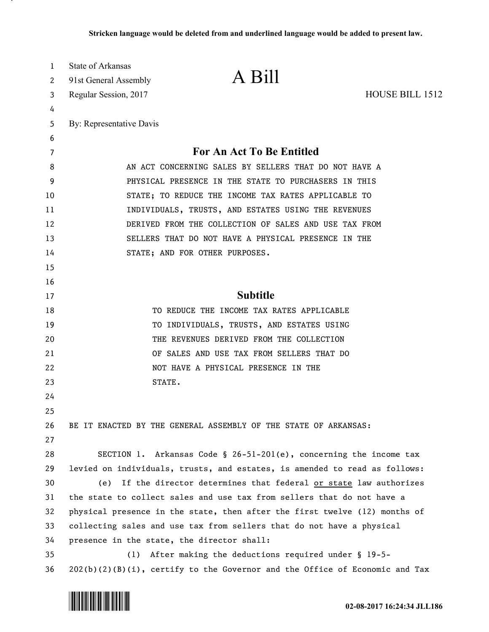| 1                     | <b>State of Arkansas</b>                                                      |                                                                                       |                        |
|-----------------------|-------------------------------------------------------------------------------|---------------------------------------------------------------------------------------|------------------------|
| $\mathbf{2}^{\prime}$ | 91st General Assembly                                                         | A Bill                                                                                |                        |
| 3                     | Regular Session, 2017                                                         |                                                                                       | <b>HOUSE BILL 1512</b> |
| 4                     |                                                                               |                                                                                       |                        |
| 5                     | By: Representative Davis                                                      |                                                                                       |                        |
| 6                     |                                                                               |                                                                                       |                        |
| 7                     | <b>For An Act To Be Entitled</b>                                              |                                                                                       |                        |
| 8                     |                                                                               | AN ACT CONCERNING SALES BY SELLERS THAT DO NOT HAVE A                                 |                        |
| 9                     | PHYSICAL PRESENCE IN THE STATE TO PURCHASERS IN THIS                          |                                                                                       |                        |
| 10                    | STATE; TO REDUCE THE INCOME TAX RATES APPLICABLE TO                           |                                                                                       |                        |
| 11                    | INDIVIDUALS, TRUSTS, AND ESTATES USING THE REVENUES                           |                                                                                       |                        |
| 12                    | DERIVED FROM THE COLLECTION OF SALES AND USE TAX FROM                         |                                                                                       |                        |
| 13                    | SELLERS THAT DO NOT HAVE A PHYSICAL PRESENCE IN THE                           |                                                                                       |                        |
| 14                    |                                                                               | STATE; AND FOR OTHER PURPOSES.                                                        |                        |
| 15                    |                                                                               |                                                                                       |                        |
| 16                    |                                                                               |                                                                                       |                        |
| 17                    | <b>Subtitle</b>                                                               |                                                                                       |                        |
| 18                    |                                                                               | TO REDUCE THE INCOME TAX RATES APPLICABLE                                             |                        |
| 19                    |                                                                               | TO INDIVIDUALS, TRUSTS, AND ESTATES USING<br>THE REVENUES DERIVED FROM THE COLLECTION |                        |
| 20<br>21              |                                                                               | OF SALES AND USE TAX FROM SELLERS THAT DO                                             |                        |
| 22                    |                                                                               | NOT HAVE A PHYSICAL PRESENCE IN THE                                                   |                        |
| 23                    |                                                                               | STATE.                                                                                |                        |
| 24                    |                                                                               |                                                                                       |                        |
| 25                    |                                                                               |                                                                                       |                        |
| 26                    |                                                                               | BE IT ENACTED BY THE GENERAL ASSEMBLY OF THE STATE OF ARKANSAS:                       |                        |
| 27                    |                                                                               |                                                                                       |                        |
| 28                    |                                                                               | SECTION 1. Arkansas Code § 26-51-201(e), concerning the income tax                    |                        |
| 29                    | levied on individuals, trusts, and estates, is amended to read as follows:    |                                                                                       |                        |
| 30                    | If the director determines that federal <u>or state</u> law authorizes<br>(e) |                                                                                       |                        |
| 31                    | the state to collect sales and use tax from sellers that do not have a        |                                                                                       |                        |
| 32                    | physical presence in the state, then after the first twelve (12) months of    |                                                                                       |                        |
| 33                    | collecting sales and use tax from sellers that do not have a physical         |                                                                                       |                        |
| 34                    | presence in the state, the director shall:                                    |                                                                                       |                        |
| 35                    | After making the deductions required under § 19-5-<br>(1)                     |                                                                                       |                        |
| 36                    |                                                                               | $202(b)(2)(B)(i)$ , certify to the Governor and the Office of Economic and Tax        |                        |



.